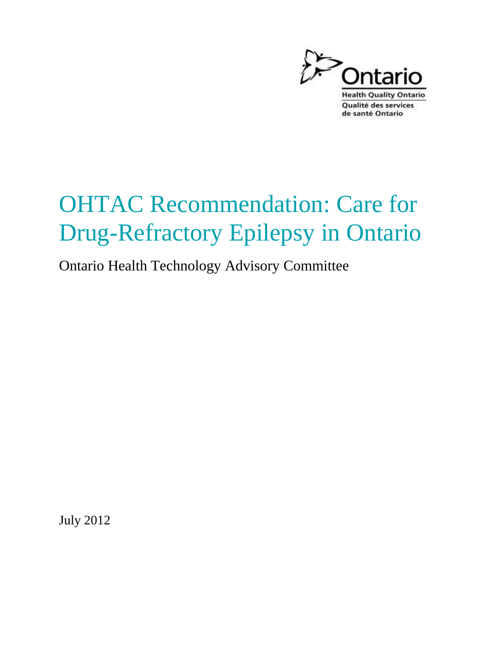

# OHTAC Recommendation: Care for Drug-Refractory Epilepsy in Ontario

Ontario Health Technology Advisory Committee

July 2012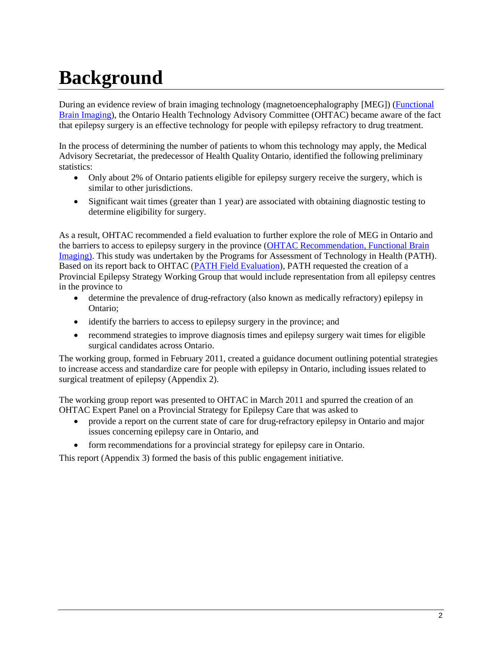# **Background**

During an evidence review of brain imaging technology (magnetoencephalography [MEG]) [\(Functional](http://www.health.gov.on.ca/english/providers/program/mas/tech/reviews/pdf/rev_fbi_012507.pdf)  [Brain Imaging\)](http://www.health.gov.on.ca/english/providers/program/mas/tech/reviews/pdf/rev_fbi_012507.pdf), the Ontario Health Technology Advisory Committee (OHTAC) became aware of the fact that epilepsy surgery is an effective technology for people with epilepsy refractory to drug treatment.

In the process of determining the number of patients to whom this technology may apply, the Medical Advisory Secretariat, the predecessor of Health Quality Ontario, identified the following preliminary statistics:

- Only about 2% of Ontario patients eligible for epilepsy surgery receive the surgery, which is similar to other jurisdictions.
- Significant wait times (greater than 1 year) are associated with obtaining diagnostic testing to determine eligibility for surgery.

As a result, OHTAC recommended a field evaluation to further explore the role of MEG in Ontario and the barriers to access to epilepsy surgery in the province [\(OHTAC Recommendation, Functional Brain](http://www.health.gov.on.ca/english/providers/program/ohtac/tech/recommend/rec_fbi_012507.pdf)  [Imaging\).](http://www.health.gov.on.ca/english/providers/program/ohtac/tech/recommend/rec_fbi_012507.pdf) This study was undertaken by the Programs for Assessment of Technology in Health (PATH). Based on its report back to OHTAC [\(PATH Field Evaluation\)](http://www.path-hta.ca/Libraries/Reports/MEG_OHTAC_report.sflb.ashx), PATH requested the creation of a Provincial Epilepsy Strategy Working Group that would include representation from all epilepsy centres in the province to

- determine the prevalence of drug-refractory (also known as medically refractory) epilepsy in Ontario;
- identify the barriers to access to epilepsy surgery in the province; and
- recommend strategies to improve diagnosis times and epilepsy surgery wait times for eligible surgical candidates across Ontario.

The working group, formed in February 2011, created a guidance document outlining potential strategies to increase access and standardize care for people with epilepsy in Ontario, including issues related to surgical treatment of epilepsy (Appendix 2).

The working group report was presented to OHTAC in March 2011 and spurred the creation of an OHTAC Expert Panel on a Provincial Strategy for Epilepsy Care that was asked to

- provide a report on the current state of care for drug-refractory epilepsy in Ontario and major issues concerning epilepsy care in Ontario, and
- form recommendations for a provincial strategy for epilepsy care in Ontario.

This report (Appendix 3) formed the basis of this public engagement initiative.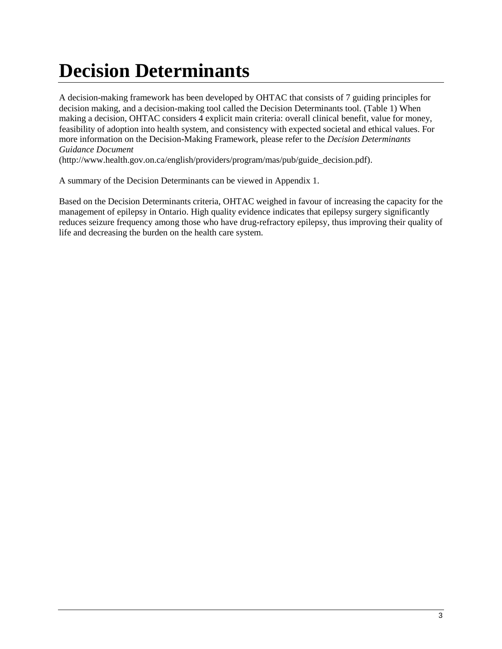# **Decision Determinants**

A decision-making framework has been developed by OHTAC that consists of 7 guiding principles for decision making, and a decision-making tool called the Decision Determinants tool. (Table 1) When making a decision, OHTAC considers 4 explicit main criteria: overall clinical benefit, value for money, feasibility of adoption into health system, and consistency with expected societal and ethical values. For more information on the Decision-Making Framework, please refer to the *Decision Determinants Guidance Document*

(http://www.health.gov.on.ca/english/providers/program/mas/pub/guide\_decision.pdf).

A summary of the Decision Determinants can be viewed in Appendix 1.

Based on the Decision Determinants criteria, OHTAC weighed in favour of increasing the capacity for the management of epilepsy in Ontario. High quality evidence indicates that epilepsy surgery significantly reduces seizure frequency among those who have drug-refractory epilepsy, thus improving their quality of life and decreasing the burden on the health care system.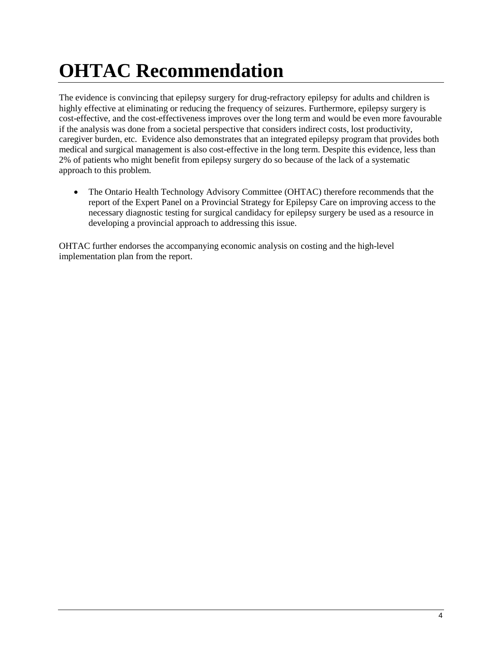# **OHTAC Recommendation**

The evidence is convincing that epilepsy surgery for drug-refractory epilepsy for adults and children is highly effective at eliminating or reducing the frequency of seizures. Furthermore, epilepsy surgery is cost-effective, and the cost-effectiveness improves over the long term and would be even more favourable if the analysis was done from a societal perspective that considers indirect costs, lost productivity, caregiver burden, etc. Evidence also demonstrates that an integrated epilepsy program that provides both medical and surgical management is also cost-effective in the long term. Despite this evidence, less than 2% of patients who might benefit from epilepsy surgery do so because of the lack of a systematic approach to this problem.

• The Ontario Health Technology Advisory Committee (OHTAC) therefore recommends that the report of the Expert Panel on a Provincial Strategy for Epilepsy Care on improving access to the necessary diagnostic testing for surgical candidacy for epilepsy surgery be used as a resource in developing a provincial approach to addressing this issue.

OHTAC further endorses the accompanying economic analysis on costing and the high-level implementation plan from the report.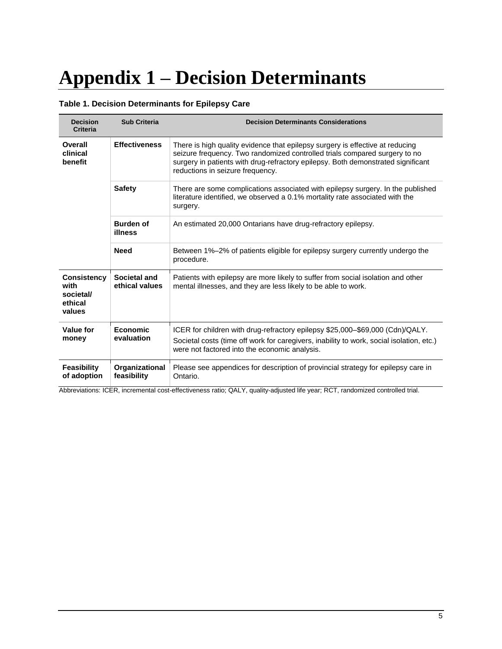# **Appendix 1 – Decision Determinants**

### **Table 1. Decision Determinants for Epilepsy Care**

| <b>Decision</b><br><b>Criteria</b>                           | <b>Sub Criteria</b>            | <b>Decision Determinants Considerations</b>                                                                                                                                                                                                                                         |
|--------------------------------------------------------------|--------------------------------|-------------------------------------------------------------------------------------------------------------------------------------------------------------------------------------------------------------------------------------------------------------------------------------|
| Overall<br>clinical<br>benefit                               | <b>Effectiveness</b>           | There is high quality evidence that epilepsy surgery is effective at reducing<br>seizure frequency. Two randomized controlled trials compared surgery to no<br>surgery in patients with drug-refractory epilepsy. Both demonstrated significant<br>reductions in seizure frequency. |
|                                                              | <b>Safety</b>                  | There are some complications associated with epilepsy surgery. In the published<br>literature identified, we observed a 0.1% mortality rate associated with the<br>surgery.                                                                                                         |
|                                                              | <b>Burden of</b><br>illness    | An estimated 20,000 Ontarians have drug-refractory epilepsy.                                                                                                                                                                                                                        |
|                                                              | <b>Need</b>                    | Between 1%-2% of patients eligible for epilepsy surgery currently undergo the<br>procedure.                                                                                                                                                                                         |
| <b>Consistency</b><br>with<br>societal/<br>ethical<br>values | Societal and<br>ethical values | Patients with epilepsy are more likely to suffer from social isolation and other<br>mental illnesses, and they are less likely to be able to work.                                                                                                                                  |
| Value for<br>money                                           | <b>Economic</b><br>evaluation  | ICER for children with drug-refractory epilepsy \$25,000-\$69,000 (Cdn)/QALY.<br>Societal costs (time off work for caregivers, inability to work, social isolation, etc.)<br>were not factored into the economic analysis.                                                          |
| <b>Feasibility</b><br>of adoption                            | Organizational<br>feasibility  | Please see appendices for description of provincial strategy for epilepsy care in<br>Ontario.                                                                                                                                                                                       |

Abbreviations: ICER, incremental cost-effectiveness ratio; QALY, quality-adjusted life year; RCT, randomized controlled trial.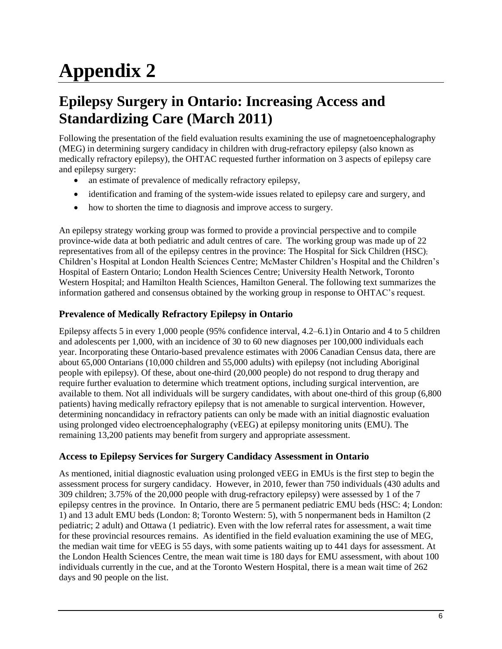# **Appendix 2**

# **Epilepsy Surgery in Ontario: Increasing Access and Standardizing Care (March 2011)**

Following the presentation of the field evaluation results examining the use of magnetoencephalography (MEG) in determining surgery candidacy in children with drug-refractory epilepsy (also known as medically refractory epilepsy), the OHTAC requested further information on 3 aspects of epilepsy care and epilepsy surgery:

- an estimate of prevalence of medically refractory epilepsy,
- identification and framing of the system-wide issues related to epilepsy care and surgery, and
- how to shorten the time to diagnosis and improve access to surgery.

An epilepsy strategy working group was formed to provide a provincial perspective and to compile province-wide data at both pediatric and adult centres of care. The working group was made up of 22 representatives from all of the epilepsy centres in the province: The Hospital for Sick Children (HSC); Children's Hospital at London Health Sciences Centre; McMaster Children's Hospital and the Children's Hospital of Eastern Ontario; London Health Sciences Centre; University Health Network, Toronto Western Hospital; and Hamilton Health Sciences, Hamilton General. The following text summarizes the information gathered and consensus obtained by the working group in response to OHTAC's request.

# **Prevalence of Medically Refractory Epilepsy in Ontario**

Epilepsy affects 5 in every 1,000 people (95% confidence interval, 4.2–6.1) in Ontario and 4 to 5 children and adolescents per 1,000, with an incidence of 30 to 60 new diagnoses per 100,000 individuals each year. Incorporating these Ontario-based prevalence estimates with 2006 Canadian Census data, there are about 65,000 Ontarians (10,000 children and 55,000 adults) with epilepsy (not including Aboriginal people with epilepsy). Of these, about one-third (20,000 people) do not respond to drug therapy and require further evaluation to determine which treatment options, including surgical intervention, are available to them. Not all individuals will be surgery candidates, with about one-third of this group (6,800 patients) having medically refractory epilepsy that is not amenable to surgical intervention. However, determining noncandidacy in refractory patients can only be made with an initial diagnostic evaluation using prolonged video electroencephalography (vEEG) at epilepsy monitoring units (EMU). The remaining 13,200 patients may benefit from surgery and appropriate assessment.

## **Access to Epilepsy Services for Surgery Candidacy Assessment in Ontario**

As mentioned, initial diagnostic evaluation using prolonged vEEG in EMUs is the first step to begin the assessment process for surgery candidacy. However, in 2010, fewer than 750 individuals (430 adults and 309 children; 3.75% of the 20,000 people with drug-refractory epilepsy) were assessed by 1 of the 7 epilepsy centres in the province. In Ontario, there are 5 permanent pediatric EMU beds (HSC: 4; London: 1) and 13 adult EMU beds (London: 8; Toronto Western: 5), with 5 nonpermanent beds in Hamilton (2 pediatric; 2 adult) and Ottawa (1 pediatric). Even with the low referral rates for assessment, a wait time for these provincial resources remains. As identified in the field evaluation examining the use of MEG, the median wait time for vEEG is 55 days, with some patients waiting up to 441 days for assessment. At the London Health Sciences Centre, the mean wait time is 180 days for EMU assessment, with about 100 individuals currently in the cue, and at the Toronto Western Hospital, there is a mean wait time of 262 days and 90 people on the list.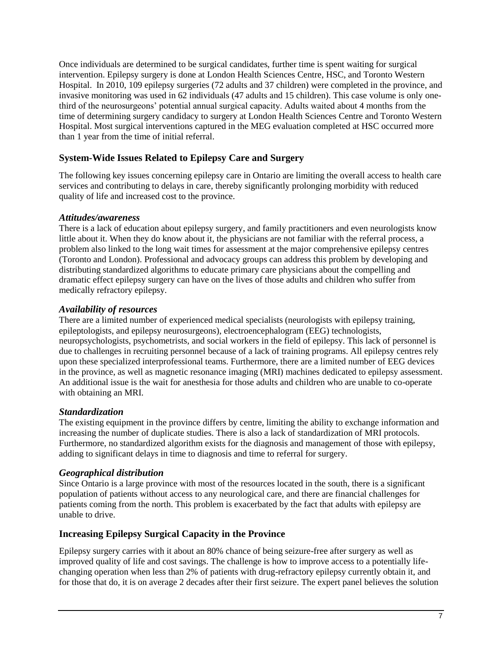Once individuals are determined to be surgical candidates, further time is spent waiting for surgical intervention. Epilepsy surgery is done at London Health Sciences Centre, HSC, and Toronto Western Hospital. In 2010, 109 epilepsy surgeries (72 adults and 37 children) were completed in the province, and invasive monitoring was used in 62 individuals (47 adults and 15 children). This case volume is only onethird of the neurosurgeons' potential annual surgical capacity. Adults waited about 4 months from the time of determining surgery candidacy to surgery at London Health Sciences Centre and Toronto Western Hospital. Most surgical interventions captured in the MEG evaluation completed at HSC occurred more than 1 year from the time of initial referral.

## **System-Wide Issues Related to Epilepsy Care and Surgery**

The following key issues concerning epilepsy care in Ontario are limiting the overall access to health care services and contributing to delays in care, thereby significantly prolonging morbidity with reduced quality of life and increased cost to the province.

### *Attitudes/awareness*

There is a lack of education about epilepsy surgery, and family practitioners and even neurologists know little about it. When they do know about it, the physicians are not familiar with the referral process, a problem also linked to the long wait times for assessment at the major comprehensive epilepsy centres (Toronto and London). Professional and advocacy groups can address this problem by developing and distributing standardized algorithms to educate primary care physicians about the compelling and dramatic effect epilepsy surgery can have on the lives of those adults and children who suffer from medically refractory epilepsy.

### *Availability of resources*

There are a limited number of experienced medical specialists (neurologists with epilepsy training, epileptologists, and epilepsy neurosurgeons), electroencephalogram (EEG) technologists, neuropsychologists, psychometrists, and social workers in the field of epilepsy. This lack of personnel is due to challenges in recruiting personnel because of a lack of training programs. All epilepsy centres rely upon these specialized interprofessional teams. Furthermore, there are a limited number of EEG devices in the province, as well as magnetic resonance imaging (MRI) machines dedicated to epilepsy assessment. An additional issue is the wait for anesthesia for those adults and children who are unable to co-operate with obtaining an MRI.

### *Standardization*

The existing equipment in the province differs by centre, limiting the ability to exchange information and increasing the number of duplicate studies. There is also a lack of standardization of MRI protocols. Furthermore, no standardized algorithm exists for the diagnosis and management of those with epilepsy, adding to significant delays in time to diagnosis and time to referral for surgery.

### *Geographical distribution*

Since Ontario is a large province with most of the resources located in the south, there is a significant population of patients without access to any neurological care, and there are financial challenges for patients coming from the north. This problem is exacerbated by the fact that adults with epilepsy are unable to drive.

### **Increasing Epilepsy Surgical Capacity in the Province**

Epilepsy surgery carries with it about an 80% chance of being seizure-free after surgery as well as improved quality of life and cost savings. The challenge is how to improve access to a potentially lifechanging operation when less than 2% of patients with drug-refractory epilepsy currently obtain it, and for those that do, it is on average 2 decades after their first seizure. The expert panel believes the solution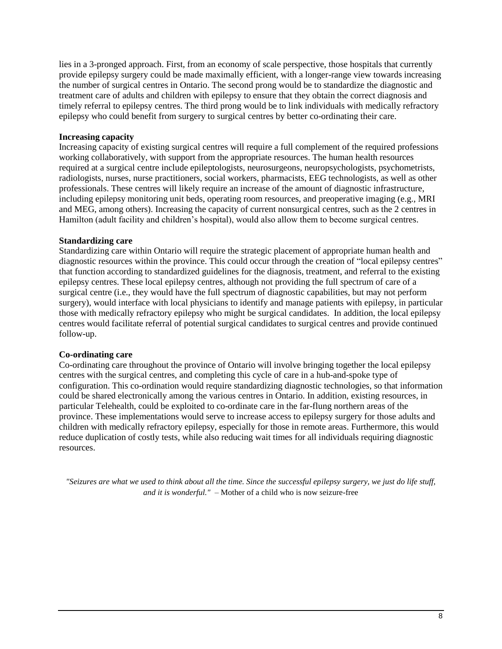lies in a 3-pronged approach. First, from an economy of scale perspective, those hospitals that currently provide epilepsy surgery could be made maximally efficient, with a longer-range view towards increasing the number of surgical centres in Ontario. The second prong would be to standardize the diagnostic and treatment care of adults and children with epilepsy to ensure that they obtain the correct diagnosis and timely referral to epilepsy centres. The third prong would be to link individuals with medically refractory epilepsy who could benefit from surgery to surgical centres by better co-ordinating their care.

#### **Increasing capacity**

Increasing capacity of existing surgical centres will require a full complement of the required professions working collaboratively, with support from the appropriate resources. The human health resources required at a surgical centre include epileptologists, neurosurgeons, neuropsychologists, psychometrists, radiologists, nurses, nurse practitioners, social workers, pharmacists, EEG technologists, as well as other professionals. These centres will likely require an increase of the amount of diagnostic infrastructure, including epilepsy monitoring unit beds, operating room resources, and preoperative imaging (e.g., MRI and MEG, among others). Increasing the capacity of current nonsurgical centres, such as the 2 centres in Hamilton (adult facility and children's hospital), would also allow them to become surgical centres.

#### **Standardizing care**

Standardizing care within Ontario will require the strategic placement of appropriate human health and diagnostic resources within the province. This could occur through the creation of "local epilepsy centres" that function according to standardized guidelines for the diagnosis, treatment, and referral to the existing epilepsy centres. These local epilepsy centres, although not providing the full spectrum of care of a surgical centre (i.e., they would have the full spectrum of diagnostic capabilities, but may not perform surgery), would interface with local physicians to identify and manage patients with epilepsy, in particular those with medically refractory epilepsy who might be surgical candidates. In addition, the local epilepsy centres would facilitate referral of potential surgical candidates to surgical centres and provide continued follow-up.

#### **Co-ordinating care**

Co-ordinating care throughout the province of Ontario will involve bringing together the local epilepsy centres with the surgical centres, and completing this cycle of care in a hub-and-spoke type of configuration. This co-ordination would require standardizing diagnostic technologies, so that information could be shared electronically among the various centres in Ontario. In addition, existing resources, in particular Telehealth, could be exploited to co-ordinate care in the far-flung northern areas of the province. These implementations would serve to increase access to epilepsy surgery for those adults and children with medically refractory epilepsy, especially for those in remote areas. Furthermore, this would reduce duplication of costly tests, while also reducing wait times for all individuals requiring diagnostic resources.

*"Seizures are what we used to think about all the time. Since the successful epilepsy surgery, we just do life stuff, and it is wonderful." –* Mother of a child who is now seizure-free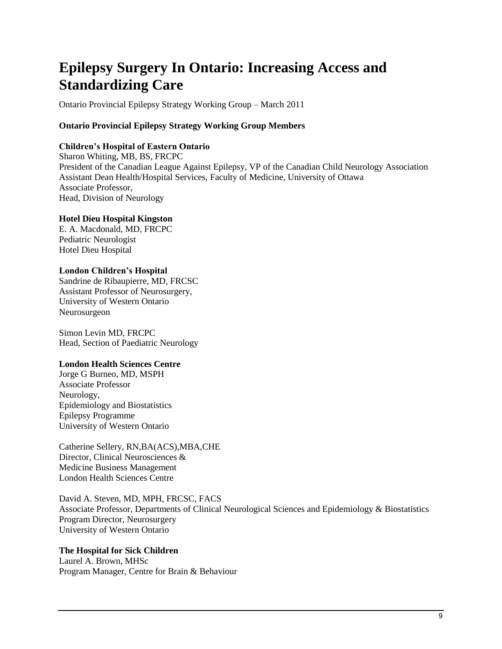# **Epilepsy Surgery In Ontario: Increasing Access and Standardizing Care**

Ontario Provincial Epilepsy Strategy Working Group – March 2011

### **Ontario Provincial Epilepsy Strategy Working Group Members**

### **Children's Hospital of Eastern Ontario**

Sharon Whiting, MB, BS, FRCPC President of the Canadian League Against Epilepsy, VP of the Canadian Child Neurology Association Assistant Dean Health/Hospital Services, Faculty of Medicine, University of Ottawa Associate Professor, Head, Division of Neurology

### **Hotel Dieu Hospital Kingston**

E. A. Macdonald, MD, FRCPC Pediatric Neurologist Hotel Dieu Hospital

# **London Children's Hospital**

Sandrine de Ribaupierre, MD, FRCSC Assistant Professor of Neurosurgery, University of Western Ontario Neurosurgeon

Simon Levin MD, FRCPC Head, Section of Paediatric Neurology

### **London Health Sciences Centre**

Jorge G Burneo, MD, MSPH Associate Professor Neurology, Epidemiology and Biostatistics Epilepsy Programme University of Western Ontario

Catherine Sellery, RN,BA(ACS),MBA,CHE Director, Clinical Neurosciences & Medicine Business Management London Health Sciences Centre

David A. Steven, MD, MPH, FRCSC, FACS Associate Professor, Departments of Clinical Neurological Sciences and Epidemiology & Biostatistics Program Director, Neurosurgery University of Western Ontario

### **The Hospital for Sick Children**

Laurel A. Brown, MHSc Program Manager, Centre for Brain & Behaviour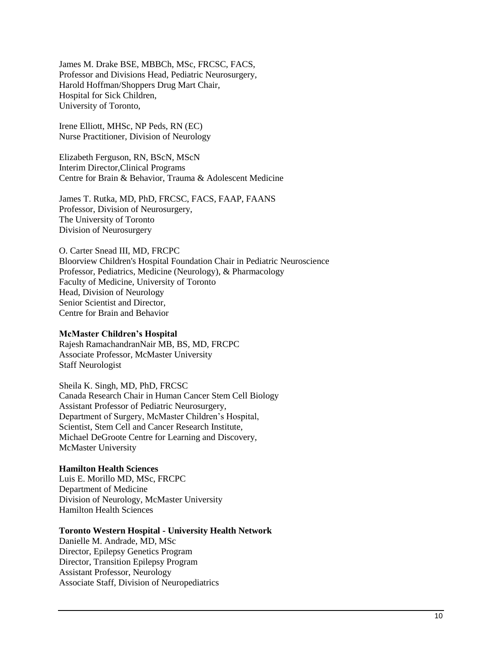James M. Drake BSE, MBBCh, MSc, FRCSC, FACS, Professor and Divisions Head, Pediatric Neurosurgery, Harold Hoffman/Shoppers Drug Mart Chair, Hospital for Sick Children, University of Toronto,

Irene Elliott, MHSc, NP Peds, RN (EC) Nurse Practitioner, Division of Neurology

Elizabeth Ferguson, RN, BScN, MScN Interim Director,Clinical Programs Centre for Brain & Behavior, Trauma & Adolescent Medicine

James T. Rutka, MD, PhD, FRCSC, FACS, FAAP, FAANS Professor, Division of Neurosurgery, The University of Toronto Division of Neurosurgery

O. Carter Snead III, MD, FRCPC Bloorview Children's Hospital Foundation Chair in Pediatric Neuroscience Professor, Pediatrics, Medicine (Neurology), & Pharmacology Faculty of Medicine, University of Toronto Head, Division of Neurology Senior Scientist and Director, Centre for Brain and Behavior

### **McMaster Children's Hospital**

Rajesh RamachandranNair MB, BS, MD, FRCPC Associate Professor, McMaster University Staff Neurologist

Sheila K. Singh, MD, PhD, FRCSC Canada Research Chair in Human Cancer Stem Cell Biology Assistant Professor of Pediatric Neurosurgery, Department of Surgery, McMaster Children's Hospital, Scientist, Stem Cell and Cancer Research Institute, Michael DeGroote Centre for Learning and Discovery, McMaster University

### **Hamilton Health Sciences**

Luis E. Morillo MD, MSc, FRCPC Department of Medicine Division of Neurology, McMaster University Hamilton Health Sciences

### **Toronto Western Hospital - University Health Network**

Danielle M. Andrade, MD, MSc Director, Epilepsy Genetics Program Director, Transition Epilepsy Program Assistant Professor, Neurology Associate Staff, Division of Neuropediatrics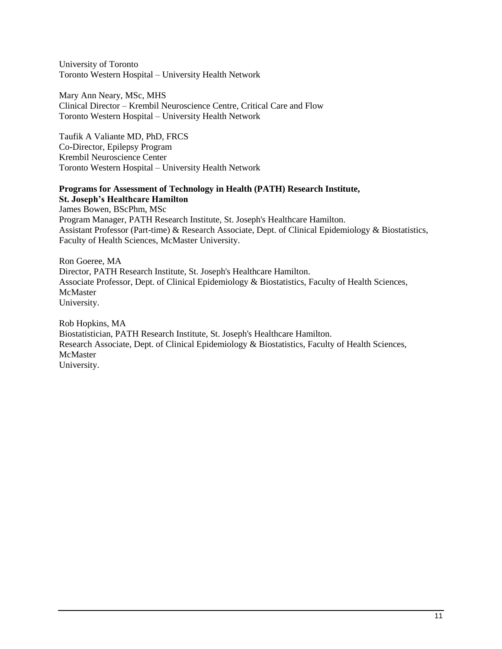University of Toronto Toronto Western Hospital – University Health Network

Mary Ann Neary, MSc, MHS Clinical Director – Krembil Neuroscience Centre, Critical Care and Flow Toronto Western Hospital – University Health Network

Taufik A Valiante MD, PhD, FRCS Co-Director, Epilepsy Program Krembil Neuroscience Center Toronto Western Hospital – University Health Network

**Programs for Assessment of Technology in Health (PATH) Research Institute, St. Joseph's Healthcare Hamilton** James Bowen, BScPhm, MSc Program Manager, PATH Research Institute, St. Joseph's Healthcare Hamilton. Assistant Professor (Part-time) & Research Associate, Dept. of Clinical Epidemiology & Biostatistics, Faculty of Health Sciences, McMaster University.

Ron Goeree, MA Director, PATH Research Institute, St. Joseph's Healthcare Hamilton. Associate Professor, Dept. of Clinical Epidemiology & Biostatistics, Faculty of Health Sciences, McMaster University.

Rob Hopkins, MA Biostatistician, PATH Research Institute, St. Joseph's Healthcare Hamilton. Research Associate, Dept. of Clinical Epidemiology & Biostatistics, Faculty of Health Sciences, McMaster University.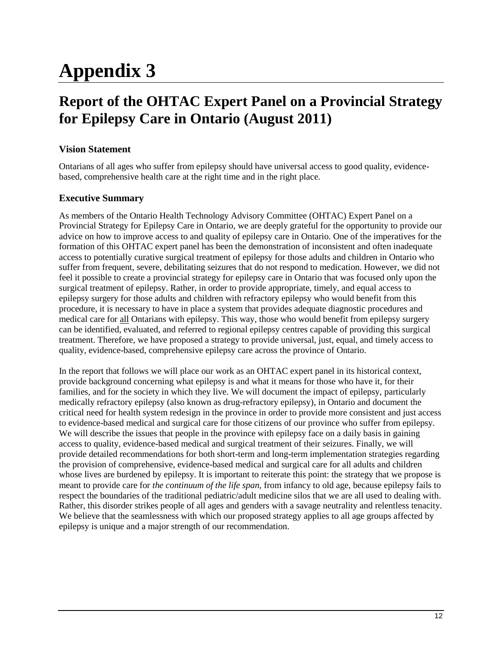# **Appendix 3**

# **Report of the OHTAC Expert Panel on a Provincial Strategy for Epilepsy Care in Ontario (August 2011)**

## **Vision Statement**

Ontarians of all ages who suffer from epilepsy should have universal access to good quality, evidencebased, comprehensive health care at the right time and in the right place.

# **Executive Summary**

As members of the Ontario Health Technology Advisory Committee (OHTAC) Expert Panel on a Provincial Strategy for Epilepsy Care in Ontario, we are deeply grateful for the opportunity to provide our advice on how to improve access to and quality of epilepsy care in Ontario. One of the imperatives for the formation of this OHTAC expert panel has been the demonstration of inconsistent and often inadequate access to potentially curative surgical treatment of epilepsy for those adults and children in Ontario who suffer from frequent, severe, debilitating seizures that do not respond to medication. However, we did not feel it possible to create a provincial strategy for epilepsy care in Ontario that was focused only upon the surgical treatment of epilepsy. Rather, in order to provide appropriate, timely, and equal access to epilepsy surgery for those adults and children with refractory epilepsy who would benefit from this procedure, it is necessary to have in place a system that provides adequate diagnostic procedures and medical care for all Ontarians with epilepsy. This way, those who would benefit from epilepsy surgery can be identified, evaluated, and referred to regional epilepsy centres capable of providing this surgical treatment. Therefore, we have proposed a strategy to provide universal, just, equal, and timely access to quality, evidence-based, comprehensive epilepsy care across the province of Ontario.

In the report that follows we will place our work as an OHTAC expert panel in its historical context, provide background concerning what epilepsy is and what it means for those who have it, for their families, and for the society in which they live. We will document the impact of epilepsy, particularly medically refractory epilepsy (also known as drug-refractory epilepsy), in Ontario and document the critical need for health system redesign in the province in order to provide more consistent and just access to evidence-based medical and surgical care for those citizens of our province who suffer from epilepsy. We will describe the issues that people in the province with epilepsy face on a daily basis in gaining access to quality, evidence-based medical and surgical treatment of their seizures. Finally, we will provide detailed recommendations for both short-term and long-term implementation strategies regarding the provision of comprehensive, evidence-based medical and surgical care for all adults and children whose lives are burdened by epilepsy. It is important to reiterate this point: the strategy that we propose is meant to provide care for *the continuum of the life span*, from infancy to old age, because epilepsy fails to respect the boundaries of the traditional pediatric/adult medicine silos that we are all used to dealing with. Rather, this disorder strikes people of all ages and genders with a savage neutrality and relentless tenacity. We believe that the seamlessness with which our proposed strategy applies to all age groups affected by epilepsy is unique and a major strength of our recommendation.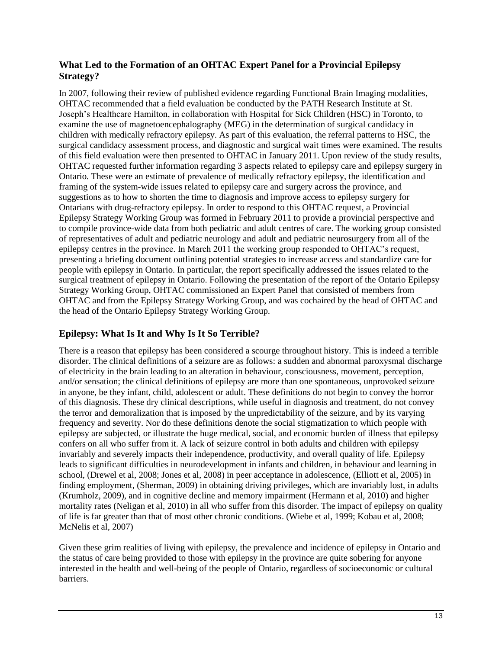## **What Led to the Formation of an OHTAC Expert Panel for a Provincial Epilepsy Strategy?**

In 2007, following their review of published evidence regarding Functional Brain Imaging modalities, OHTAC recommended that a field evaluation be conducted by the PATH Research Institute at St. Joseph's Healthcare Hamilton, in collaboration with Hospital for Sick Children (HSC) in Toronto, to examine the use of magnetoencephalography (MEG) in the determination of surgical candidacy in children with medically refractory epilepsy. As part of this evaluation, the referral patterns to HSC, the surgical candidacy assessment process, and diagnostic and surgical wait times were examined. The results of this field evaluation were then presented to OHTAC in January 2011. Upon review of the study results, OHTAC requested further information regarding 3 aspects related to epilepsy care and epilepsy surgery in Ontario. These were an estimate of prevalence of medically refractory epilepsy, the identification and framing of the system-wide issues related to epilepsy care and surgery across the province, and suggestions as to how to shorten the time to diagnosis and improve access to epilepsy surgery for Ontarians with drug-refractory epilepsy. In order to respond to this OHTAC request, a Provincial Epilepsy Strategy Working Group was formed in February 2011 to provide a provincial perspective and to compile province-wide data from both pediatric and adult centres of care. The working group consisted of representatives of adult and pediatric neurology and adult and pediatric neurosurgery from all of the epilepsy centres in the province. In March 2011 the working group responded to OHTAC's request, presenting a briefing document outlining potential strategies to increase access and standardize care for people with epilepsy in Ontario. In particular, the report specifically addressed the issues related to the surgical treatment of epilepsy in Ontario. Following the presentation of the report of the Ontario Epilepsy Strategy Working Group, OHTAC commissioned an Expert Panel that consisted of members from OHTAC and from the Epilepsy Strategy Working Group, and was cochaired by the head of OHTAC and the head of the Ontario Epilepsy Strategy Working Group.

# **Epilepsy: What Is It and Why Is It So Terrible?**

There is a reason that epilepsy has been considered a scourge throughout history. This is indeed a terrible disorder. The clinical definitions of a seizure are as follows: a sudden and abnormal paroxysmal discharge of electricity in the brain leading to an alteration in behaviour, consciousness, movement, perception, and/or sensation; the clinical definitions of epilepsy are more than one spontaneous, unprovoked seizure in anyone, be they infant, child, adolescent or adult. These definitions do not begin to convey the horror of this diagnosis. These dry clinical descriptions, while useful in diagnosis and treatment, do not convey the terror and demoralization that is imposed by the unpredictability of the seizure, and by its varying frequency and severity. Nor do these definitions denote the social stigmatization to which people with epilepsy are subjected, or illustrate the huge medical, social, and economic burden of illness that epilepsy confers on all who suffer from it. A lack of seizure control in both adults and children with epilepsy invariably and severely impacts their independence, productivity, and overall quality of life. Epilepsy leads to significant difficulties in neurodevelopment in infants and children, in behaviour and learning in school, (Drewel et al, 2008; Jones et al, 2008) in peer acceptance in adolescence, (Elliott et al, 2005) in finding employment, (Sherman, 2009) in obtaining driving privileges, which are invariably lost, in adults (Krumholz, 2009), and in cognitive decline and memory impairment (Hermann et al, 2010) and higher mortality rates (Neligan et al, 2010) in all who suffer from this disorder. The impact of epilepsy on quality of life is far greater than that of most other chronic conditions. (Wiebe et al, 1999; Kobau et al, 2008; McNelis et al, 2007)

Given these grim realities of living with epilepsy, the prevalence and incidence of epilepsy in Ontario and the status of care being provided to those with epilepsy in the province are quite sobering for anyone interested in the health and well-being of the people of Ontario, regardless of socioeconomic or cultural barriers.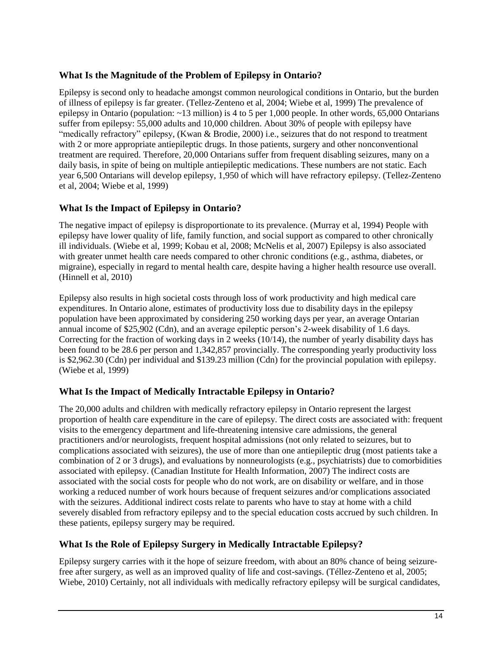## **What Is the Magnitude of the Problem of Epilepsy in Ontario?**

Epilepsy is second only to headache amongst common neurological conditions in Ontario, but the burden of illness of epilepsy is far greater. (Tellez-Zenteno et al, 2004; Wiebe et al, 1999) The prevalence of epilepsy in Ontario (population: ~13 million) is 4 to 5 per 1,000 people. In other words, 65,000 Ontarians suffer from epilepsy: 55,000 adults and 10,000 children. About 30% of people with epilepsy have "medically refractory" epilepsy, (Kwan & Brodie, 2000) i.e., seizures that do not respond to treatment with 2 or more appropriate antiepileptic drugs. In those patients, surgery and other nonconventional treatment are required. Therefore, 20,000 Ontarians suffer from frequent disabling seizures, many on a daily basis, in spite of being on multiple antiepileptic medications. These numbers are not static. Each year 6,500 Ontarians will develop epilepsy, 1,950 of which will have refractory epilepsy. (Tellez-Zenteno et al, 2004; Wiebe et al, 1999)

# **What Is the Impact of Epilepsy in Ontario?**

The negative impact of epilepsy is disproportionate to its prevalence. (Murray et al, 1994) People with epilepsy have lower quality of life, family function, and social support as compared to other chronically ill individuals. (Wiebe et al, 1999; Kobau et al, 2008; McNelis et al, 2007) Epilepsy is also associated with greater unmet health care needs compared to other chronic conditions (e.g., asthma, diabetes, or migraine), especially in regard to mental health care, despite having a higher health resource use overall. (Hinnell et al, 2010)

Epilepsy also results in high societal costs through loss of work productivity and high medical care expenditures. In Ontario alone, estimates of productivity loss due to disability days in the epilepsy population have been approximated by considering 250 working days per year, an average Ontarian annual income of \$25,902 (Cdn), and an average epileptic person's 2-week disability of 1.6 days. Correcting for the fraction of working days in 2 weeks  $(10/14)$ , the number of yearly disability days has been found to be 28.6 per person and 1,342,857 provincially. The corresponding yearly productivity loss is \$2,962.30 (Cdn) per individual and \$139.23 million (Cdn) for the provincial population with epilepsy. (Wiebe et al, 1999)

## **What Is the Impact of Medically Intractable Epilepsy in Ontario?**

The 20,000 adults and children with medically refractory epilepsy in Ontario represent the largest proportion of health care expenditure in the care of epilepsy. The direct costs are associated with: frequent visits to the emergency department and life-threatening intensive care admissions, the general practitioners and/or neurologists, frequent hospital admissions (not only related to seizures, but to complications associated with seizures), the use of more than one antiepileptic drug (most patients take a combination of 2 or 3 drugs), and evaluations by nonneurologists (e.g., psychiatrists) due to comorbidities associated with epilepsy. (Canadian Institute for Health Information, 2007) The indirect costs are associated with the social costs for people who do not work, are on disability or welfare, and in those working a reduced number of work hours because of frequent seizures and/or complications associated with the seizures. Additional indirect costs relate to parents who have to stay at home with a child severely disabled from refractory epilepsy and to the special education costs accrued by such children. In these patients, epilepsy surgery may be required.

# **What Is the Role of Epilepsy Surgery in Medically Intractable Epilepsy?**

Epilepsy surgery carries with it the hope of seizure freedom, with about an 80% chance of being seizurefree after surgery, as well as an improved quality of life and cost-savings. (Téllez-Zenteno et al, 2005; Wiebe, 2010) Certainly, not all individuals with medically refractory epilepsy will be surgical candidates,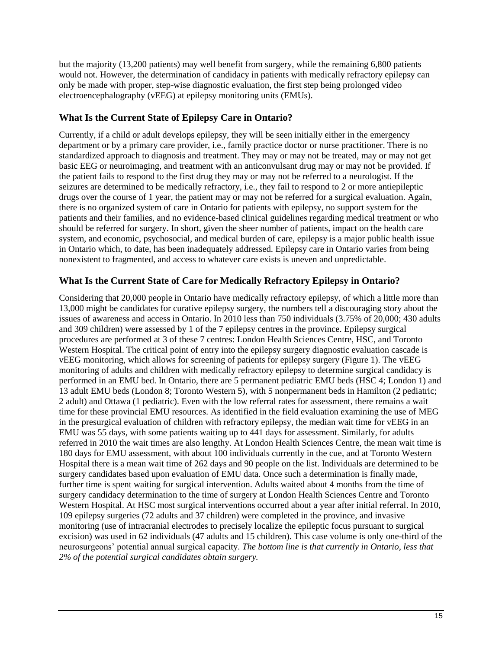but the majority (13,200 patients) may well benefit from surgery, while the remaining 6,800 patients would not. However, the determination of candidacy in patients with medically refractory epilepsy can only be made with proper, step-wise diagnostic evaluation, the first step being prolonged video electroencephalography (vEEG) at epilepsy monitoring units (EMUs).

## **What Is the Current State of Epilepsy Care in Ontario?**

Currently, if a child or adult develops epilepsy, they will be seen initially either in the emergency department or by a primary care provider, i.e., family practice doctor or nurse practitioner. There is no standardized approach to diagnosis and treatment. They may or may not be treated, may or may not get basic EEG or neuroimaging, and treatment with an anticonvulsant drug may or may not be provided. If the patient fails to respond to the first drug they may or may not be referred to a neurologist. If the seizures are determined to be medically refractory, i.e., they fail to respond to 2 or more antiepileptic drugs over the course of 1 year, the patient may or may not be referred for a surgical evaluation. Again, there is no organized system of care in Ontario for patients with epilepsy, no support system for the patients and their families, and no evidence-based clinical guidelines regarding medical treatment or who should be referred for surgery. In short, given the sheer number of patients, impact on the health care system, and economic, psychosocial, and medical burden of care, epilepsy is a major public health issue in Ontario which, to date, has been inadequately addressed. Epilepsy care in Ontario varies from being nonexistent to fragmented, and access to whatever care exists is uneven and unpredictable.

# **What Is the Current State of Care for Medically Refractory Epilepsy in Ontario?**

Considering that 20,000 people in Ontario have medically refractory epilepsy, of which a little more than 13,000 might be candidates for curative epilepsy surgery, the numbers tell a discouraging story about the issues of awareness and access in Ontario. In 2010 less than 750 individuals (3.75% of 20,000; 430 adults and 309 children) were assessed by 1 of the 7 epilepsy centres in the province. Epilepsy surgical procedures are performed at 3 of these 7 centres: London Health Sciences Centre, HSC, and Toronto Western Hospital. The critical point of entry into the epilepsy surgery diagnostic evaluation cascade is vEEG monitoring, which allows for screening of patients for epilepsy surgery (Figure 1). The vEEG monitoring of adults and children with medically refractory epilepsy to determine surgical candidacy is performed in an EMU bed. In Ontario, there are 5 permanent pediatric EMU beds (HSC 4; London 1) and 13 adult EMU beds (London 8; Toronto Western 5), with 5 nonpermanent beds in Hamilton (2 pediatric; 2 adult) and Ottawa (1 pediatric). Even with the low referral rates for assessment, there remains a wait time for these provincial EMU resources. As identified in the field evaluation examining the use of MEG in the presurgical evaluation of children with refractory epilepsy, the median wait time for vEEG in an EMU was 55 days, with some patients waiting up to 441 days for assessment. Similarly, for adults referred in 2010 the wait times are also lengthy. At London Health Sciences Centre, the mean wait time is 180 days for EMU assessment, with about 100 individuals currently in the cue, and at Toronto Western Hospital there is a mean wait time of 262 days and 90 people on the list. Individuals are determined to be surgery candidates based upon evaluation of EMU data. Once such a determination is finally made, further time is spent waiting for surgical intervention. Adults waited about 4 months from the time of surgery candidacy determination to the time of surgery at London Health Sciences Centre and Toronto Western Hospital. At HSC most surgical interventions occurred about a year after initial referral. In 2010, 109 epilepsy surgeries (72 adults and 37 children) were completed in the province, and invasive monitoring (use of intracranial electrodes to precisely localize the epileptic focus pursuant to surgical excision) was used in 62 individuals (47 adults and 15 children). This case volume is only one-third of the neurosurgeons' potential annual surgical capacity. *The bottom line is that currently in Ontario, less that 2% of the potential surgical candidates obtain surgery.*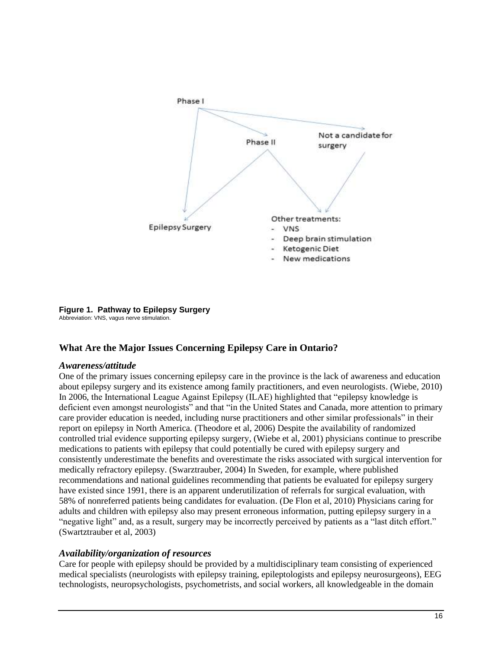

# **Figure 1. Pathway to Epilepsy Surgery**

Abbreviation: VNS, vagus nerve stimulation.

## **What Are the Major Issues Concerning Epilepsy Care in Ontario?**

### *Awareness/attitude*

One of the primary issues concerning epilepsy care in the province is the lack of awareness and education about epilepsy surgery and its existence among family practitioners, and even neurologists. (Wiebe, 2010) In 2006, the International League Against Epilepsy (ILAE) highlighted that "epilepsy knowledge is deficient even amongst neurologists" and that "in the United States and Canada, more attention to primary care provider education is needed, including nurse practitioners and other similar professionals" in their report on epilepsy in North America. (Theodore et al, 2006) Despite the availability of randomized controlled trial evidence supporting epilepsy surgery, (Wiebe et al, 2001) physicians continue to prescribe medications to patients with epilepsy that could potentially be cured with epilepsy surgery and consistently underestimate the benefits and overestimate the risks associated with surgical intervention for medically refractory epilepsy. (Swarztrauber, 2004) In Sweden, for example, where published recommendations and national guidelines recommending that patients be evaluated for epilepsy surgery have existed since 1991, there is an apparent underutilization of referrals for surgical evaluation, with 58% of nonreferred patients being candidates for evaluation. (De Flon et al, 2010) Physicians caring for adults and children with epilepsy also may present erroneous information, putting epilepsy surgery in a "negative light" and, as a result, surgery may be incorrectly perceived by patients as a "last ditch effort." (Swartztrauber et al, 2003)

### *Availability/organization of resources*

Care for people with epilepsy should be provided by a multidisciplinary team consisting of experienced medical specialists (neurologists with epilepsy training, epileptologists and epilepsy neurosurgeons), EEG technologists, neuropsychologists, psychometrists, and social workers, all knowledgeable in the domain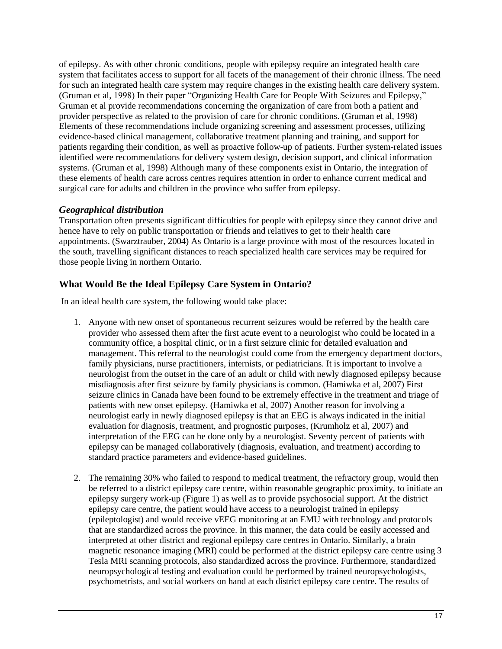of epilepsy. As with other chronic conditions, people with epilepsy require an integrated health care system that facilitates access to support for all facets of the management of their chronic illness. The need for such an integrated health care system may require changes in the existing health care delivery system. (Gruman et al, 1998) In their paper "Organizing Health Care for People With Seizures and Epilepsy," Gruman et al provide recommendations concerning the organization of care from both a patient and provider perspective as related to the provision of care for chronic conditions. (Gruman et al, 1998) Elements of these recommendations include organizing screening and assessment processes, utilizing evidence-based clinical management, collaborative treatment planning and training, and support for patients regarding their condition, as well as proactive follow-up of patients. Further system-related issues identified were recommendations for delivery system design, decision support, and clinical information systems. (Gruman et al, 1998) Although many of these components exist in Ontario, the integration of these elements of health care across centres requires attention in order to enhance current medical and surgical care for adults and children in the province who suffer from epilepsy.

# *Geographical distribution*

Transportation often presents significant difficulties for people with epilepsy since they cannot drive and hence have to rely on public transportation or friends and relatives to get to their health care appointments. (Swarztrauber, 2004) As Ontario is a large province with most of the resources located in the south, travelling significant distances to reach specialized health care services may be required for those people living in northern Ontario.

# **What Would Be the Ideal Epilepsy Care System in Ontario?**

In an ideal health care system, the following would take place:

- 1. Anyone with new onset of spontaneous recurrent seizures would be referred by the health care provider who assessed them after the first acute event to a neurologist who could be located in a community office, a hospital clinic, or in a first seizure clinic for detailed evaluation and management. This referral to the neurologist could come from the emergency department doctors, family physicians, nurse practitioners, internists, or pediatricians. It is important to involve a neurologist from the outset in the care of an adult or child with newly diagnosed epilepsy because misdiagnosis after first seizure by family physicians is common. (Hamiwka et al, 2007) First seizure clinics in Canada have been found to be extremely effective in the treatment and triage of patients with new onset epilepsy. (Hamiwka et al, 2007) Another reason for involving a neurologist early in newly diagnosed epilepsy is that an EEG is always indicated in the initial evaluation for diagnosis, treatment, and prognostic purposes, (Krumholz et al, 2007) and interpretation of the EEG can be done only by a neurologist. Seventy percent of patients with epilepsy can be managed collaboratively (diagnosis, evaluation, and treatment) according to standard practice parameters and evidence-based guidelines.
- 2. The remaining 30% who failed to respond to medical treatment, the refractory group, would then be referred to a district epilepsy care centre, within reasonable geographic proximity, to initiate an epilepsy surgery work-up (Figure 1) as well as to provide psychosocial support. At the district epilepsy care centre, the patient would have access to a neurologist trained in epilepsy (epileptologist) and would receive vEEG monitoring at an EMU with technology and protocols that are standardized across the province. In this manner, the data could be easily accessed and interpreted at other district and regional epilepsy care centres in Ontario. Similarly, a brain magnetic resonance imaging (MRI) could be performed at the district epilepsy care centre using 3 Tesla MRI scanning protocols, also standardized across the province. Furthermore, standardized neuropsychological testing and evaluation could be performed by trained neuropsychologists, psychometrists, and social workers on hand at each district epilepsy care centre. The results of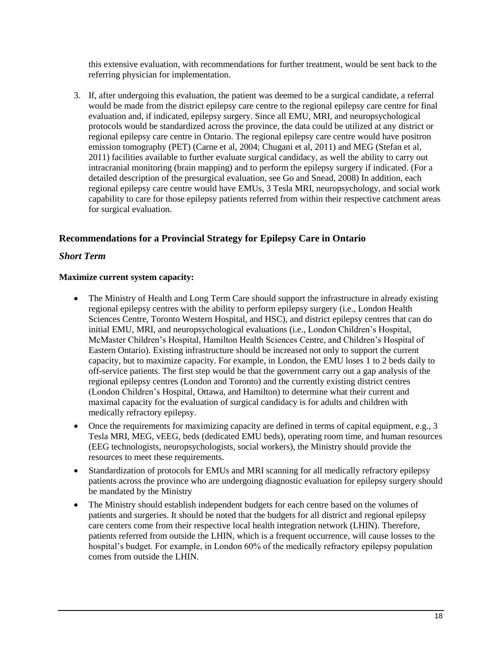this extensive evaluation, with recommendations for further treatment, would be sent back to the referring physician for implementation.

3. If, after undergoing this evaluation, the patient was deemed to be a surgical candidate, a referral would be made from the district epilepsy care centre to the regional epilepsy care centre for final evaluation and, if indicated, epilepsy surgery. Since all EMU, MRI, and neuropsychological protocols would be standardized across the province, the data could be utilized at any district or regional epilepsy care centre in Ontario. The regional epilepsy care centre would have positron emission tomography (PET) (Carne et al, 2004; Chugani et al, 2011) and MEG (Stefan et al, 2011) facilities available to further evaluate surgical candidacy, as well the ability to carry out intracranial monitoring (brain mapping) and to perform the epilepsy surgery if indicated. (For a detailed description of the presurgical evaluation, see Go and Snead, 2008) In addition, each regional epilepsy care centre would have EMUs, 3 Tesla MRI, neuropsychology, and social work capability to care for those epilepsy patients referred from within their respective catchment areas for surgical evaluation.

## **Recommendations for a Provincial Strategy for Epilepsy Care in Ontario**

## *Short Term*

### **Maximize current system capacity:**

- The Ministry of Health and Long Term Care should support the infrastructure in already existing regional epilepsy centres with the ability to perform epilepsy surgery (i.e., London Health Sciences Centre, Toronto Western Hospital, and HSC), and district epilepsy centres that can do initial EMU, MRI, and neuropsychological evaluations (i.e., London Children's Hospital, McMaster Children's Hospital, Hamilton Health Sciences Centre, and Children's Hospital of Eastern Ontario). Existing infrastructure should be increased not only to support the current capacity, but to maximize capacity. For example, in London, the EMU loses 1 to 2 beds daily to off-service patients. The first step would be that the government carry out a gap analysis of the regional epilepsy centres (London and Toronto) and the currently existing district centres (London Children's Hospital, Ottawa, and Hamilton) to determine what their current and maximal capacity for the evaluation of surgical candidacy is for adults and children with medically refractory epilepsy.
- Once the requirements for maximizing capacity are defined in terms of capital equipment, e.g., 3 Tesla MRI, MEG, vEEG, beds (dedicated EMU beds), operating room time, and human resources (EEG technologists, neuropsychologists, social workers), the Ministry should provide the resources to meet these requirements.
- Standardization of protocols for EMUs and MRI scanning for all medically refractory epilepsy patients across the province who are undergoing diagnostic evaluation for epilepsy surgery should be mandated by the Ministry
- The Ministry should establish independent budgets for each centre based on the volumes of patients and surgeries. It should be noted that the budgets for all district and regional epilepsy care centers come from their respective local health integration network (LHIN). Therefore, patients referred from outside the LHIN, which is a frequent occurrence, will cause losses to the hospital's budget. For example, in London 60% of the medically refractory epilepsy population comes from outside the LHIN.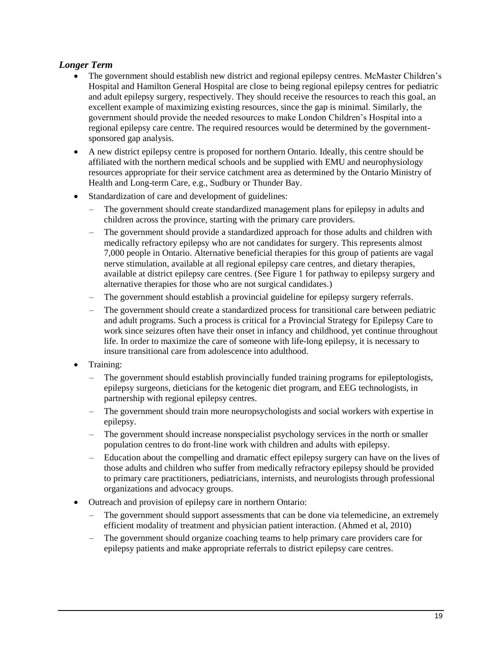## *Longer Term*

- The government should establish new district and regional epilepsy centres. McMaster Children's Hospital and Hamilton General Hospital are close to being regional epilepsy centres for pediatric and adult epilepsy surgery, respectively. They should receive the resources to reach this goal, an excellent example of maximizing existing resources, since the gap is minimal. Similarly, the government should provide the needed resources to make London Children's Hospital into a regional epilepsy care centre. The required resources would be determined by the governmentsponsored gap analysis.
- A new district epilepsy centre is proposed for northern Ontario. Ideally, this centre should be affiliated with the northern medical schools and be supplied with EMU and neurophysiology resources appropriate for their service catchment area as determined by the Ontario Ministry of Health and Long-term Care, e.g., Sudbury or Thunder Bay.
- Standardization of care and development of guidelines:
	- The government should create standardized management plans for epilepsy in adults and children across the province, starting with the primary care providers.
	- The government should provide a standardized approach for those adults and children with medically refractory epilepsy who are not candidates for surgery. This represents almost 7,000 people in Ontario. Alternative beneficial therapies for this group of patients are vagal nerve stimulation, available at all regional epilepsy care centres, and dietary therapies, available at district epilepsy care centres. (See Figure 1 for pathway to epilepsy surgery and alternative therapies for those who are not surgical candidates.)
	- The government should establish a provincial guideline for epilepsy surgery referrals.
	- The government should create a standardized process for transitional care between pediatric and adult programs. Such a process is critical for a Provincial Strategy for Epilepsy Care to work since seizures often have their onset in infancy and childhood, yet continue throughout life. In order to maximize the care of someone with life-long epilepsy, it is necessary to insure transitional care from adolescence into adulthood.
- Training:
	- The government should establish provincially funded training programs for epileptologists, epilepsy surgeons, dieticians for the ketogenic diet program, and EEG technologists, in partnership with regional epilepsy centres.
	- The government should train more neuropsychologists and social workers with expertise in epilepsy.
	- The government should increase nonspecialist psychology services in the north or smaller population centres to do front-line work with children and adults with epilepsy.
	- Education about the compelling and dramatic effect epilepsy surgery can have on the lives of those adults and children who suffer from medically refractory epilepsy should be provided to primary care practitioners, pediatricians, internists, and neurologists through professional organizations and advocacy groups.
- Outreach and provision of epilepsy care in northern Ontario:
	- The government should support assessments that can be done via telemedicine, an extremely efficient modality of treatment and physician patient interaction. (Ahmed et al, 2010)
	- The government should organize coaching teams to help primary care providers care for epilepsy patients and make appropriate referrals to district epilepsy care centres.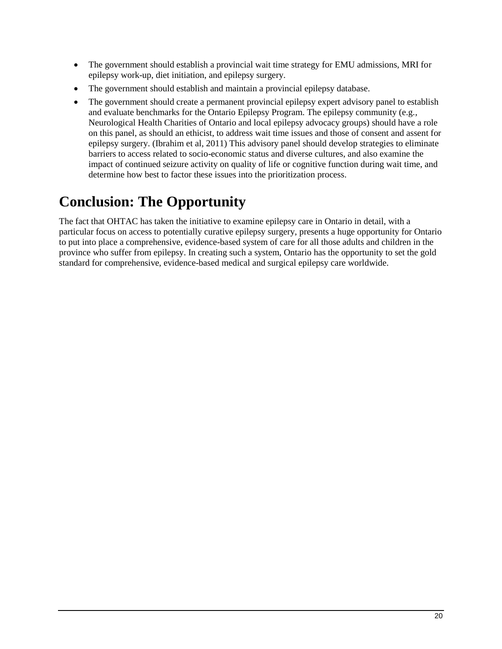- The government should establish a provincial wait time strategy for EMU admissions, MRI for epilepsy work-up, diet initiation, and epilepsy surgery.
- The government should establish and maintain a provincial epilepsy database.
- The government should create a permanent provincial epilepsy expert advisory panel to establish and evaluate benchmarks for the Ontario Epilepsy Program. The epilepsy community (e.g., Neurological Health Charities of Ontario and local epilepsy advocacy groups) should have a role on this panel, as should an ethicist, to address wait time issues and those of consent and assent for epilepsy surgery. (Ibrahim et al, 2011) This advisory panel should develop strategies to eliminate barriers to access related to socio-economic status and diverse cultures, and also examine the impact of continued seizure activity on quality of life or cognitive function during wait time, and determine how best to factor these issues into the prioritization process.

# **Conclusion: The Opportunity**

The fact that OHTAC has taken the initiative to examine epilepsy care in Ontario in detail, with a particular focus on access to potentially curative epilepsy surgery, presents a huge opportunity for Ontario to put into place a comprehensive, evidence-based system of care for all those adults and children in the province who suffer from epilepsy. In creating such a system, Ontario has the opportunity to set the gold standard for comprehensive, evidence-based medical and surgical epilepsy care worldwide.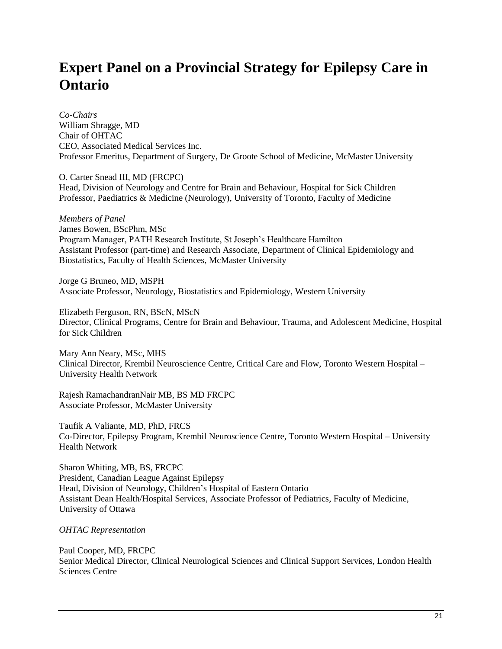# **Expert Panel on a Provincial Strategy for Epilepsy Care in Ontario**

*Co-Chairs*  William Shragge, MD Chair of OHTAC CEO, Associated Medical Services Inc. Professor Emeritus, Department of Surgery, De Groote School of Medicine, McMaster University

O. Carter Snead III, MD (FRCPC) Head, Division of Neurology and Centre for Brain and Behaviour, Hospital for Sick Children Professor, Paediatrics & Medicine (Neurology), University of Toronto, Faculty of Medicine

*Members of Panel*  James Bowen, BScPhm, MSc Program Manager, PATH Research Institute, St Joseph's Healthcare Hamilton Assistant Professor (part-time) and Research Associate, Department of Clinical Epidemiology and Biostatistics, Faculty of Health Sciences, McMaster University

Jorge G Bruneo, MD, MSPH Associate Professor, Neurology, Biostatistics and Epidemiology, Western University

Elizabeth Ferguson, RN, BScN, MScN Director, Clinical Programs, Centre for Brain and Behaviour, Trauma, and Adolescent Medicine, Hospital for Sick Children

Mary Ann Neary, MSc, MHS Clinical Director, Krembil Neuroscience Centre, Critical Care and Flow, Toronto Western Hospital – University Health Network

Rajesh RamachandranNair MB, BS MD FRCPC Associate Professor, McMaster University

Taufik A Valiante, MD, PhD, FRCS Co-Director, Epilepsy Program, Krembil Neuroscience Centre, Toronto Western Hospital – University Health Network

Sharon Whiting, MB, BS, FRCPC President, Canadian League Against Epilepsy Head, Division of Neurology, Children's Hospital of Eastern Ontario Assistant Dean Health/Hospital Services, Associate Professor of Pediatrics, Faculty of Medicine, University of Ottawa

### *OHTAC Representation*

Paul Cooper, MD, FRCPC Senior Medical Director, Clinical Neurological Sciences and Clinical Support Services, London Health Sciences Centre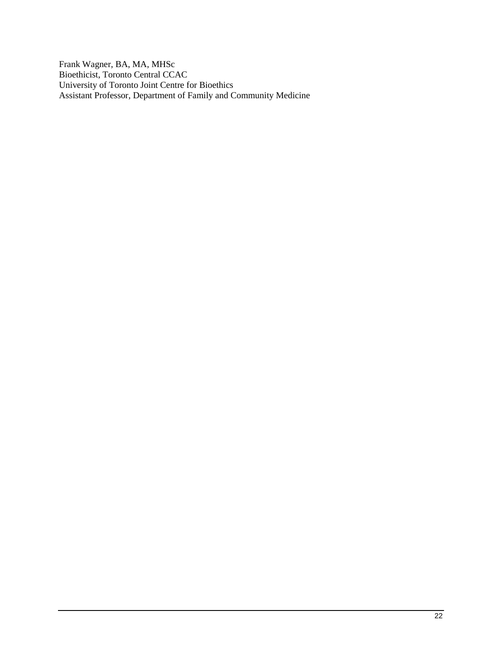Frank Wagner, BA, MA, MHSc Bioethicist, Toronto Central CCAC University of Toronto Joint Centre for Bioethics Assistant Professor, Department of Family and Community Medicine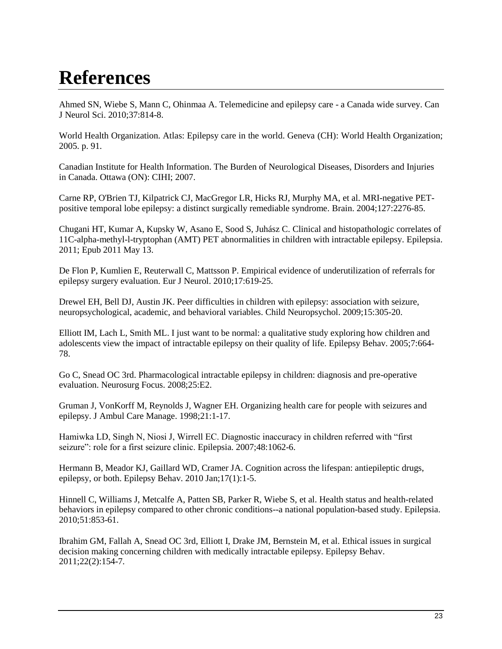# **References**

Ahmed SN, Wiebe S, Mann C, Ohinmaa A. [Telemedicine and epilepsy care -](http://www.ncbi.nlm.nih.gov/pubmed/21059544) a Canada wide survey. Can J Neurol Sci. 2010;37:814-8.

World Health Organization. Atlas: Epilepsy care in the world. Geneva (CH): World Health Organization; 2005. p. 91.

Canadian Institute for Health Information. The Burden of Neurological Diseases, Disorders and Injuries in Canada. Ottawa (ON): CIHI; 2007.

Carne RP, O'Brien TJ, Kilpatrick CJ, MacGregor LR, Hicks RJ, Murphy MA, et al. [MRI-negative PET](http://www.ncbi.nlm.nih.gov/pubmed/15282217)[positive temporal lobe epilepsy: a distinct surgically remediable syndrome.](http://www.ncbi.nlm.nih.gov/pubmed/15282217) Brain. 2004;127:2276-85.

Chugani HT, Kumar A, Kupsky W, Asano E, Sood S, Juhász C. [Clinical and histopathologic correlates of](http://www.ncbi.nlm.nih.gov/pubmed/21569023)  [11C-alpha-methyl-l-tryptophan \(AMT\) PET abnormalities in children with intractable epilepsy.](http://www.ncbi.nlm.nih.gov/pubmed/21569023) Epilepsia. 2011; Epub 2011 May 13.

De Flon P, Kumlien E, Reuterwall C, Mattsson P. [Empirical evidence of underutilization of referrals for](http://ovidsp.tx.ovid.com/sp-3.4.1b/ovidweb.cgi?&S=MHHCFPHEGKDDOKHONCBLOHFBBIFJAA00&Complete+Reference=S.sh.41%7c1%7c1)  [epilepsy surgery evaluation.](http://ovidsp.tx.ovid.com/sp-3.4.1b/ovidweb.cgi?&S=MHHCFPHEGKDDOKHONCBLOHFBBIFJAA00&Complete+Reference=S.sh.41%7c1%7c1) Eur J Neurol. 2010;17:619-25.

Drewel EH, Bell DJ, Austin JK. [Peer difficulties in children with epilepsy: association with seizure,](http://www.ncbi.nlm.nih.gov/pubmed/19093265)  [neuropsychological, academic, and behavioral variables.](http://www.ncbi.nlm.nih.gov/pubmed/19093265) Child Neuropsychol. 2009;15:305-20.

Elliott IM, Lach L, Smith ML. [I just want to be normal: a qualitative study exploring how children and](http://www.ncbi.nlm.nih.gov/pubmed/16140594)  [adolescents view the impact of intractable epilepsy on their quality of life.](http://www.ncbi.nlm.nih.gov/pubmed/16140594) Epilepsy Behav. 2005;7:664- 78.

Go C, Snead OC 3rd. Pharmacological intractable epilepsy in children: diagnosis and pre-operative evaluation. Neurosurg Focus. 2008;25:E2.

Gruman J, VonKorff M, Reynolds J, Wagner EH. Organizing health care for people with seizures and epilepsy. J Ambul Care Manage. 1998;21:1-17.

Hamiwka LD, Singh N, Niosi J, Wirrell EC. Diagnostic inaccuracy in children referred with "first seizure": role for a first seizure clinic. Epilepsia. 2007;48:1062-6.

Hermann B, Meador KJ, Gaillard WD, Cramer JA. Cognition across the lifespan: antiepileptic drugs, epilepsy, or both. Epilepsy Behav. 2010 Jan;17(1):1-5.

Hinnell C, Williams J, Metcalfe A, Patten SB, Parker R, Wiebe S, et al. [Health status and health-related](http://ovidsp.tx.ovid.com/sp-3.4.1b/ovidweb.cgi?&S=MHHCFPHEGKDDOKHONCBLOHFBBIFJAA00&Complete+Reference=S.sh.106%7c17%7c1)  [behaviors in epilepsy compared to other chronic conditions--a](http://ovidsp.tx.ovid.com/sp-3.4.1b/ovidweb.cgi?&S=MHHCFPHEGKDDOKHONCBLOHFBBIFJAA00&Complete+Reference=S.sh.106%7c17%7c1) national population-based study. Epilepsia. 2010;51:853-61.

Ibrahim GM, Fallah A, Snead OC 3rd, Elliott I, Drake JM, Bernstein M, et al. Ethical issues in surgical decision making concerning children with medically intractable epilepsy. Epilepsy Behav. 2011;22(2):154-7.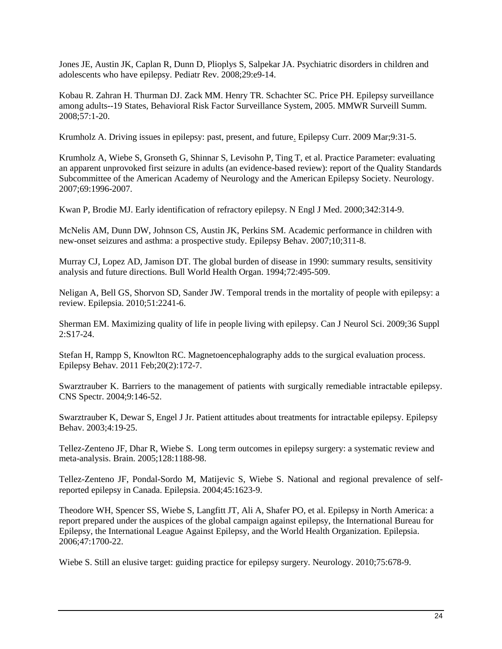Jones JE, Austin JK, Caplan R, Dunn D, Plioplys S, Salpekar JA. [Psychiatric disorders in children and](http://www.ncbi.nlm.nih.gov/pubmed/18245299)  [adolescents who have epilepsy.](http://www.ncbi.nlm.nih.gov/pubmed/18245299) Pediatr Rev. 2008;29:e9-14.

Kobau R. Zahran H. Thurman DJ. Zack MM. Henry TR. Schachter SC. Price PH. [Epilepsy surveillance](http://ovidsp.tx.ovid.com/sp-3.4.1b/ovidweb.cgi?&S=MHHCFPHEGKDDOKHONCBLOHFBBIFJAA00&Complete+Reference=S.sh.55%7c6%7c1)  [among adults--19 States, Behavioral Risk Factor Surveillance System, 2005.](http://ovidsp.tx.ovid.com/sp-3.4.1b/ovidweb.cgi?&S=MHHCFPHEGKDDOKHONCBLOHFBBIFJAA00&Complete+Reference=S.sh.55%7c6%7c1) MMWR Surveill Summ. 2008;57:1-20.

Krumholz A. [Driving issues in epilepsy: past, present, and future.](http://www.ncbi.nlm.nih.gov/pubmed/19421374) Epilepsy Curr. 2009 Mar;9:31-5.

Krumholz A, Wiebe S, Gronseth G, Shinnar S, Levisohn P, Ting T, et al. [Practice Parameter: evaluating](http://www.ncbi.nlm.nih.gov/pubmed/18025394)  [an apparent unprovoked first seizure in adults \(an evidence-based review\): report](http://www.ncbi.nlm.nih.gov/pubmed/18025394) of the Quality Standards [Subcommittee of the American Academy of Neurology and the American Epilepsy Society.](http://www.ncbi.nlm.nih.gov/pubmed/18025394) Neurology. 2007;69:1996-2007.

Kwan P, Brodie MJ. Early identification of refractory epilepsy. N Engl J Med. 2000;342:314-9.

McNelis AM, Dunn DW, Johnson CS, Austin JK, Perkins SM. [Academic performance in children with](http://www.ncbi.nlm.nih.gov/pubmed/17293164)  [new-onset seizures and asthma: a prospective study.](http://www.ncbi.nlm.nih.gov/pubmed/17293164) Epilepsy Behav. 2007;10;311-8.

Murray CJ, Lopez AD, Jamison DT. [The global burden of disease in 1990: summary results, sensitivity](http://ovidsp.tx.ovid.com/sp-3.4.1b/ovidweb.cgi?&S=MHHCFPHEGKDDOKHONCBLOHFBBIFJAA00&Complete+Reference=S.sh.74%7c1%7c1)  [analysis and future directions.](http://ovidsp.tx.ovid.com/sp-3.4.1b/ovidweb.cgi?&S=MHHCFPHEGKDDOKHONCBLOHFBBIFJAA00&Complete+Reference=S.sh.74%7c1%7c1) Bull World Health Organ. 1994;72:495-509.

Neligan A, Bell GS, Shorvon SD, Sander JW[. Temporal trends in the mortality](http://www.ncbi.nlm.nih.gov/pubmed/21175603) of people with epilepsy: a [review.](http://www.ncbi.nlm.nih.gov/pubmed/21175603) Epilepsia. 2010;51:2241-6.

Sherman EM. [Maximizing quality of life in people living with epilepsy.](http://www.ncbi.nlm.nih.gov/pubmed/19760895) Can J Neurol Sci. 2009;36 Suppl 2:S17-24.

Stefan H, Rampp S, Knowlton RC. [Magnetoencephalography adds to the surgical](http://www.ncbi.nlm.nih.gov/pubmed/20934391) evaluation process. Epilepsy Behav. 2011 Feb;20(2):172-7.

Swarztrauber K. Barriers to the management of patients with surgically remediable intractable epilepsy. CNS Spectr. 2004;9:146-52.

Swarztrauber K, Dewar S, Engel J Jr. [Patient attitudes about treatments for intractable epilepsy.](http://ovidsp.tx.ovid.com/sp-3.4.1b/ovidweb.cgi?&S=MHHCFPHEGKDDOKHONCBLOHFBBIFJAA00&Complete+Reference=S.sh.39%7c12%7c1) Epilepsy Behav. 2003;4:19-25.

Tellez-Zenteno JF, Dhar R, Wiebe S. Long term outcomes in epilepsy surgery: a systematic review and meta-analysis. Brain. 2005;128:1188-98.

Tellez-Zenteno JF, Pondal-Sordo M, Matijevic S, Wiebe S. National and regional prevalence of selfreported epilepsy in Canada. Epilepsia. 2004;45:1623-9.

Theodore WH, Spencer SS, Wiebe S, Langfitt JT, Ali A, Shafer PO, et al. [Epilepsy in North America: a](http://ovidsp.tx.ovid.com/sp-3.4.1b/ovidweb.cgi?&S=MHHCFPHEGKDDOKHONCBLOHFBBIFJAA00&Complete+Reference=S.sh.37%7c1%7c1)  [report prepared under the auspices of the global campaign against epilepsy, the International Bureau for](http://ovidsp.tx.ovid.com/sp-3.4.1b/ovidweb.cgi?&S=MHHCFPHEGKDDOKHONCBLOHFBBIFJAA00&Complete+Reference=S.sh.37%7c1%7c1)  [Epilepsy, the International League Against Epilepsy, and the World Health Organization.](http://ovidsp.tx.ovid.com/sp-3.4.1b/ovidweb.cgi?&S=MHHCFPHEGKDDOKHONCBLOHFBBIFJAA00&Complete+Reference=S.sh.37%7c1%7c1) Epilepsia. 2006;47:1700-22.

Wiebe S. Still an elusive target: guiding practice for epilepsy surgery. Neurology. 2010;75:678-9.